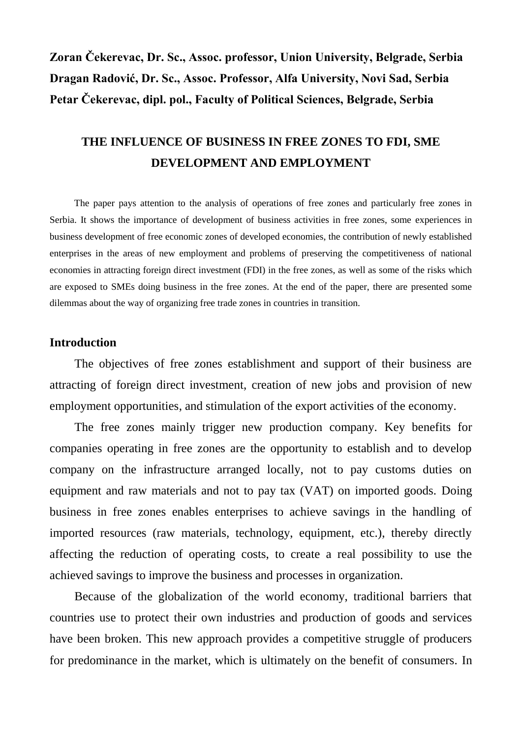**Zoran Čekerevac, Dr. Sc., Assoc. professor, Union University, Belgrade, Serbia Dragan Radović, Dr. Sc., Assoc. Professor, Alfa University, Novi Sad, Serbia Petar Čekerevac, dipl. pol., Faculty of Political Sciences, Belgrade, Serbia**

# **THE INFLUENCE OF BUSINESS IN FREE ZONES TO FDI, SME DEVELOPMENT AND EMPLOYMENT**

The paper pays attention to the analysis of operations of free zones and particularly free zones in Serbia. It shows the importance of development of business activities in free zones, some experiences in business development of free economic zones of developed economies, the contribution of newly established enterprises in the areas of new employment and problems of preserving the competitiveness of national economies in attracting foreign direct investment (FDI) in the free zones, as well as some of the risks which are exposed to SMEs doing business in the free zones. At the end of the paper, there are presented some dilemmas about the way of organizing free trade zones in countries in transition.

#### **Introduction**

The objectives of free zones establishment and support of their business are attracting of foreign direct investment, creation of new jobs and provision of new employment opportunities, and stimulation of the export activities of the economy.

The free zones mainly trigger new production company. Key benefits for companies operating in free zones are the opportunity to establish and to develop company on the infrastructure arranged locally, not to pay customs duties on equipment and raw materials and not to pay tax (VAT) on imported goods. Doing business in free zones enables enterprises to achieve savings in the handling of imported resources (raw materials, technology, equipment, etc.), thereby directly affecting the reduction of operating costs, to create a real possibility to use the achieved savings to improve the business and processes in organization.

Because of the globalization of the world economy, traditional barriers that countries use to protect their own industries and production of goods and services have been broken. This new approach provides a competitive struggle of producers for predominance in the market, which is ultimately on the benefit of consumers. In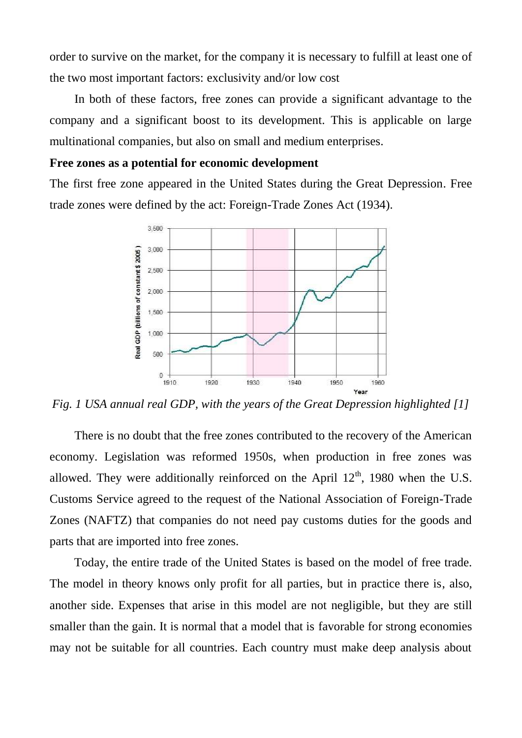order to survive on the market, for the company it is necessary to fulfill at least one of the two most important factors: exclusivity and/or low cost

In both of these factors, free zones can provide a significant advantage to the company and a significant boost to its development. This is applicable on large multinational companies, but also on small and medium enterprises.

### **Free zones as a potential for economic development**

The first free zone appeared in the United States during the Great Depression. Free trade zones were defined by the act: Foreign-Trade Zones Act (1934).



*Fig. 1 USA annual real GDP, with the years of the Great Depression highlighted [1]*

There is no doubt that the free zones contributed to the recovery of the American economy. Legislation was reformed 1950s, when production in free zones was allowed. They were additionally reinforced on the April  $12<sup>th</sup>$ , 1980 when the U.S. Customs Service agreed to the request of the National Association of Foreign-Trade Zones (NAFTZ) that companies do not need pay customs duties for the goods and parts that are imported into free zones.

Today, the entire trade of the United States is based on the model of free trade. The model in theory knows only profit for all parties, but in practice there is, also, another side. Expenses that arise in this model are not negligible, but they are still smaller than the gain. It is normal that a model that is favorable for strong economies may not be suitable for all countries. Each country must make deep analysis about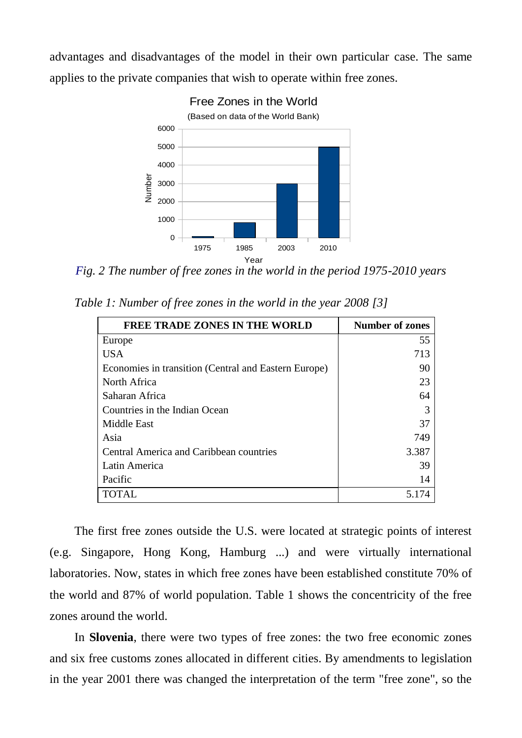advantages and disadvantages of the model in their own particular case. The same applies to the private companies that wish to operate within free zones.



*Fig. 2 The number of free zones in the world in the period 1975-2010 years*

*Table 1: Number of free zones in the world in the year 2008 [3]*

| <b>FREE TRADE ZONES IN THE WORLD</b>                 | <b>Number of zones</b> |
|------------------------------------------------------|------------------------|
| Europe                                               | 55                     |
| <b>USA</b>                                           | 713                    |
| Economies in transition (Central and Eastern Europe) | 90                     |
| North Africa                                         | 23                     |
| Saharan Africa                                       | 64                     |
| Countries in the Indian Ocean                        |                        |
| Middle East                                          | 37                     |
| Asia                                                 | 749                    |
| <b>Central America and Caribbean countries</b>       | 3.387                  |
| Latin America                                        | 39                     |
| Pacific                                              | 14                     |
| <b>TOTAL</b>                                         | 5.174                  |

The first free zones outside the U.S. were located at strategic points of interest (e.g. Singapore, Hong Kong, Hamburg ...) and were virtually international laboratories. Now, states in which free zones have been established constitute 70% of the world and 87% of world population. Table 1 shows the concentricity of the free zones around the world.

In **Slovenia**, there were two types of free zones: the two free economic zones and six free customs zones allocated in different cities. By amendments to legislation in the year 2001 there was changed the interpretation of the term "free zone", so the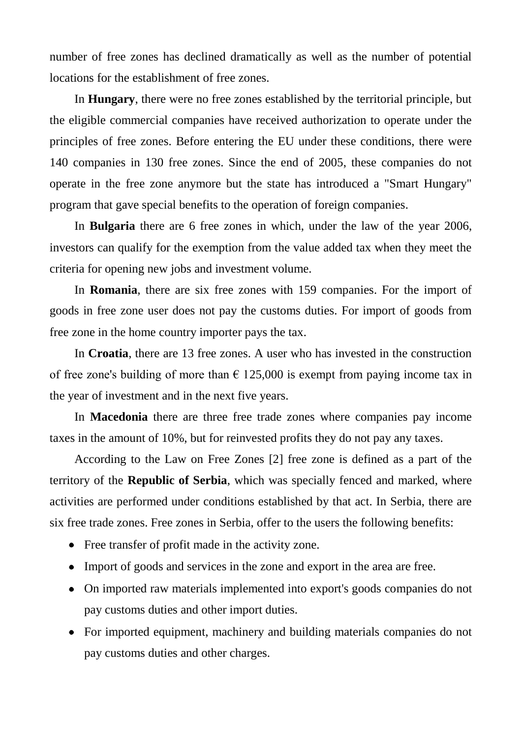number of free zones has declined dramatically as well as the number of potential locations for the establishment of free zones.

In **Hungary**, there were no free zones established by the territorial principle, but the eligible commercial companies have received authorization to operate under the principles of free zones. Before entering the EU under these conditions, there were 140 companies in 130 free zones. Since the end of 2005, these companies do not operate in the free zone anymore but the state has introduced a "Smart Hungary" program that gave special benefits to the operation of foreign companies.

In **Bulgaria** there are 6 free zones in which, under the law of the year 2006, investors can qualify for the exemption from the value added tax when they meet the criteria for opening new jobs and investment volume.

In **Romania**, there are six free zones with 159 companies. For the import of goods in free zone user does not pay the customs duties. For import of goods from free zone in the home country importer pays the tax.

In **Croatia**, there are 13 free zones. A user who has invested in the construction of free zone's building of more than  $\epsilon$  125,000 is exempt from paying income tax in the year of investment and in the next five years.

In **Macedonia** there are three free trade zones where companies pay income taxes in the amount of 10%, but for reinvested profits they do not pay any taxes.

According to the Law on Free Zones [2] free zone is defined as a part of the territory of the **Republic of Serbia**, which was specially fenced and marked, where activities are performed under conditions established by that act. In Serbia, there are six free trade zones. Free zones in Serbia, offer to the users the following benefits:

- Free transfer of profit made in the activity zone.
- Import of goods and services in the zone and export in the area are free.
- On imported raw materials implemented into export's goods companies do not pay customs duties and other import duties.
- For imported equipment, machinery and building materials companies do not pay customs duties and other charges.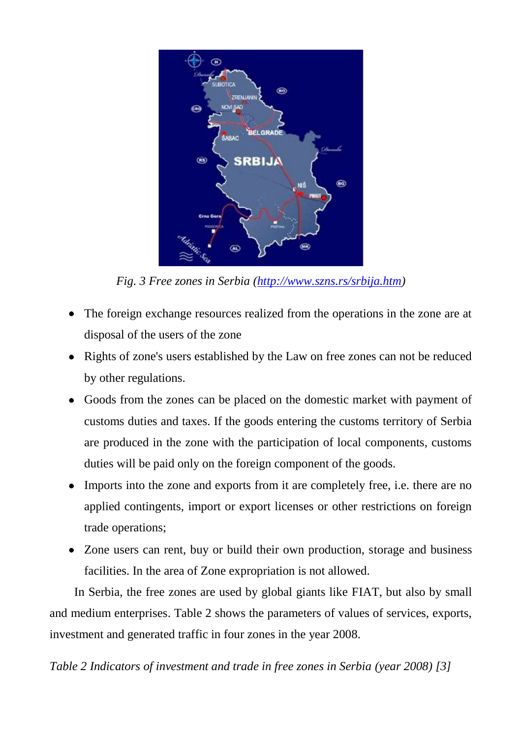

*Fig. 3 Free zones in Serbia [\(http://www.szns.rs/srbija.htm\)](http://www.szns.rs/srbija.htm)*

- The foreign exchange resources realized from the operations in the zone are at disposal of the users of the zone
- Rights of zone's users established by the Law on free zones can not be reduced by other regulations.
- Goods from the zones can be placed on the domestic market with payment of customs duties and taxes. If the goods entering the customs territory of Serbia are produced in the zone with the participation of local components, customs duties will be paid only on the foreign component of the goods.
- Imports into the zone and exports from it are completely free, i.e. there are no applied contingents, import or export licenses or other restrictions on foreign trade operations;
- Zone users can rent, buy or build their own production, storage and business facilities. In the area of Zone expropriation is not allowed.

In Serbia, the free zones are used by global giants like FIAT, but also by small and medium enterprises. Table 2 shows the parameters of values of services, exports, investment and generated traffic in four zones in the year 2008.

*Table 2 Indicators of investment and trade in free zones in Serbia (year 2008) [3]*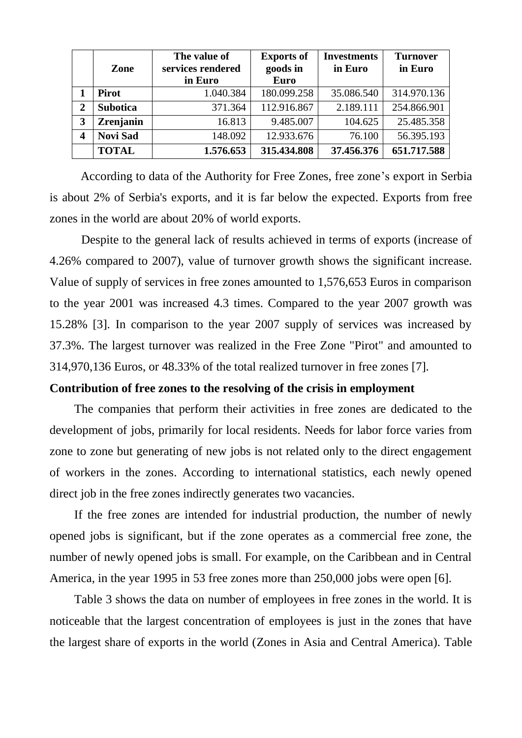|                | Zone            | The value of<br>services rendered | <b>Exports of</b><br>goods in | <b>Investments</b><br>in Euro | <b>Turnover</b><br>in Euro |
|----------------|-----------------|-----------------------------------|-------------------------------|-------------------------------|----------------------------|
|                |                 | in Euro                           | <b>Euro</b>                   |                               |                            |
|                | <b>Pirot</b>    | 1.040.384                         | 180.099.258                   | 35.086.540                    | 314.970.136                |
| $\overline{2}$ | <b>Subotica</b> | 371.364                           | 112.916.867                   | 2.189.111                     | 254.866.901                |
| 3              | Zrenjanin       | 16.813                            | 9.485.007                     | 104.625                       | 25.485.358                 |
| 4              | <b>Novi Sad</b> | 148.092                           | 12.933.676                    | 76.100                        | 56.395.193                 |
|                | <b>TOTAL</b>    | 1.576.653                         | 315.434.808                   | 37.456.376                    | 651.717.588                |

According to data of the Authority for Free Zones, free zone's export in Serbia is about 2% of Serbia's exports, and it is far below the expected. Exports from free zones in the world are about 20% of world exports.

Despite to the general lack of results achieved in terms of exports (increase of 4.26% compared to 2007), value of turnover growth shows the significant increase. Value of supply of services in free zones amounted to 1,576,653 Euros in comparison to the year 2001 was increased 4.3 times. Compared to the year 2007 growth was 15.28% [3]. In comparison to the year 2007 supply of services was increased by 37.3%. The largest turnover was realized in the Free Zone "Pirot" and amounted to 314,970,136 Euros, or 48.33% of the total realized turnover in free zones [7].

## **Contribution of free zones to the resolving of the crisis in employment**

The companies that perform their activities in free zones are dedicated to the development of jobs, primarily for local residents. Needs for labor force varies from zone to zone but generating of new jobs is not related only to the direct engagement of workers in the zones. According to international statistics, each newly opened direct job in the free zones indirectly generates two vacancies.

If the free zones are intended for industrial production, the number of newly opened jobs is significant, but if the zone operates as a commercial free zone, the number of newly opened jobs is small. For example, on the Caribbean and in Central America, in the year 1995 in 53 free zones more than 250,000 jobs were open [6].

Table 3 shows the data on number of employees in free zones in the world. It is noticeable that the largest concentration of employees is just in the zones that have the largest share of exports in the world (Zones in Asia and Central America). Table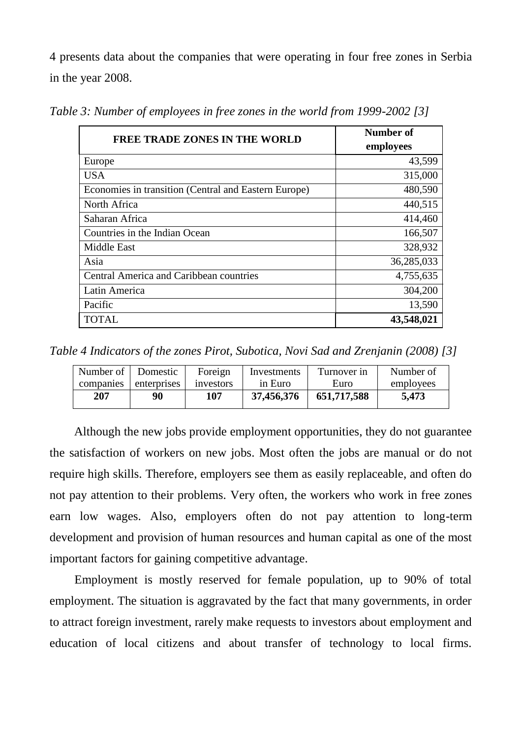4 presents data about the companies that were operating in four free zones in Serbia in the year 2008.

| <b>FREE TRADE ZONES IN THE WORLD</b>                 | Number of  |  |
|------------------------------------------------------|------------|--|
|                                                      | employees  |  |
| Europe                                               | 43,599     |  |
| USA.                                                 | 315,000    |  |
| Economies in transition (Central and Eastern Europe) | 480,590    |  |
| North Africa                                         | 440,515    |  |
| Saharan Africa                                       | 414,460    |  |
| Countries in the Indian Ocean                        | 166,507    |  |
| <b>Middle East</b>                                   | 328,932    |  |
| Asia                                                 | 36,285,033 |  |
| Central America and Caribbean countries              | 4,755,635  |  |
| Latin America                                        | 304,200    |  |
| Pacific                                              | 13,590     |  |
| <b>TOTAL</b>                                         | 43,548,021 |  |

*Table 3: Number of employees in free zones in the world from 1999-2002 [3]*

*Table 4 Indicators of the zones Pirot, Subotica, Novi Sad and Zrenjanin (2008) [3]*

| Number of Domestic |             | Foreign   | Investments | Turnover in | Number of |
|--------------------|-------------|-----------|-------------|-------------|-----------|
| companies          | enterprises | investors | in Euro     | Euro        | employees |
| 207                | 90          | 107       | 37,456,376  | 651,717,588 | 5,473     |

Although the new jobs provide employment opportunities, they do not guarantee the satisfaction of workers on new jobs. Most often the jobs are manual or do not require high skills. Therefore, employers see them as easily replaceable, and often do not pay attention to their problems. Very often, the workers who work in free zones earn low wages. Also, employers often do not pay attention to long-term development and provision of human resources and human capital as one of the most important factors for gaining competitive advantage.

Employment is mostly reserved for female population, up to 90% of total employment. The situation is aggravated by the fact that many governments, in order to attract foreign investment, rarely make requests to investors about employment and education of local citizens and about transfer of technology to local firms.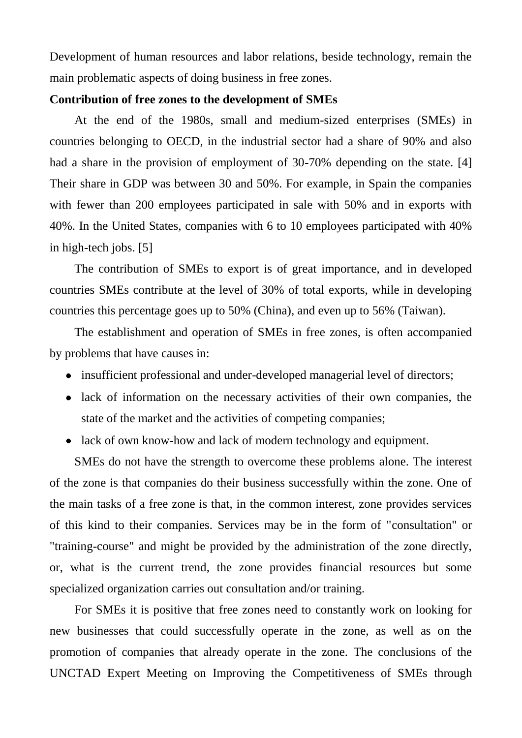Development of human resources and labor relations, beside technology, remain the main problematic aspects of doing business in free zones.

#### **Contribution of free zones to the development of SMEs**

At the end of the 1980s, small and medium-sized enterprises (SMEs) in countries belonging to OECD, in the industrial sector had a share of 90% and also had a share in the provision of employment of 30-70% depending on the state. [4] Their share in GDP was between 30 and 50%. For example, in Spain the companies with fewer than 200 employees participated in sale with 50% and in exports with 40%. In the United States, companies with 6 to 10 employees participated with 40% in high-tech jobs. [5]

The contribution of SMEs to export is of great importance, and in developed countries SMEs contribute at the level of 30% of total exports, while in developing countries this percentage goes up to 50% (China), and even up to 56% (Taiwan).

The establishment and operation of SMEs in free zones, is often accompanied by problems that have causes in:

- insufficient professional and under-developed managerial level of directors;
- lack of information on the necessary activities of their own companies, the state of the market and the activities of competing companies;
- lack of own know-how and lack of modern technology and equipment.

SMEs do not have the strength to overcome these problems alone. The interest of the zone is that companies do their business successfully within the zone. One of the main tasks of a free zone is that, in the common interest, zone provides services of this kind to their companies. Services may be in the form of "consultation" or "training-course" and might be provided by the administration of the zone directly, or, what is the current trend, the zone provides financial resources but some specialized organization carries out consultation and/or training.

For SMEs it is positive that free zones need to constantly work on looking for new businesses that could successfully operate in the zone, as well as on the promotion of companies that already operate in the zone. The conclusions of the UNCTAD Expert Meeting on Improving the Competitiveness of SMEs through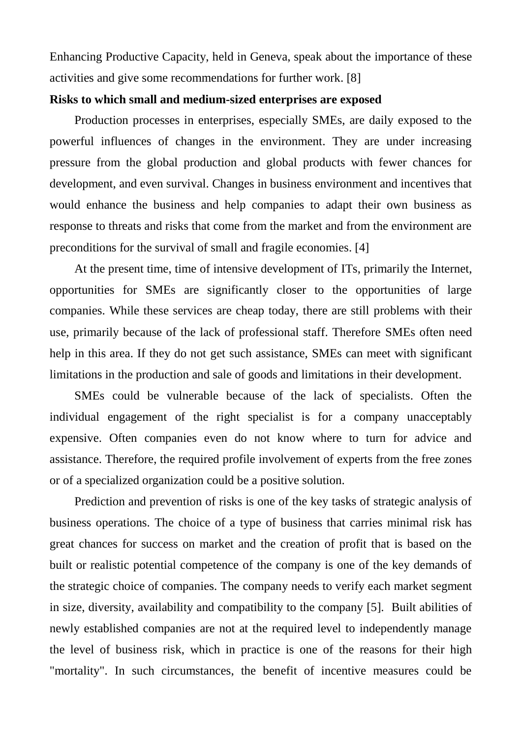Enhancing Productive Capacity, held in Geneva, speak about the importance of these activities and give some recommendations for further work. [8]

## **Risks to which small and medium-sized enterprises are exposed**

Production processes in enterprises, especially SMEs, are daily exposed to the powerful influences of changes in the environment. They are under increasing pressure from the global production and global products with fewer chances for development, and even survival. Changes in business environment and incentives that would enhance the business and help companies to adapt their own business as response to threats and risks that come from the market and from the environment are preconditions for the survival of small and fragile economies. [4]

At the present time, time of intensive development of ITs, primarily the Internet, opportunities for SMEs are significantly closer to the opportunities of large companies. While these services are cheap today, there are still problems with their use, primarily because of the lack of professional staff. Therefore SMEs often need help in this area. If they do not get such assistance, SMEs can meet with significant limitations in the production and sale of goods and limitations in their development.

SMEs could be vulnerable because of the lack of specialists. Often the individual engagement of the right specialist is for a company unacceptably expensive. Often companies even do not know where to turn for advice and assistance. Therefore, the required profile involvement of experts from the free zones or of a specialized organization could be a positive solution.

Prediction and prevention of risks is one of the key tasks of strategic analysis of business operations. The choice of a type of business that carries minimal risk has great chances for success on market and the creation of profit that is based on the built or realistic potential competence of the company is one of the key demands of the strategic choice of companies. The company needs to verify each market segment in size, diversity, availability and compatibility to the company [5]. Built abilities of newly established companies are not at the required level to independently manage the level of business risk, which in practice is one of the reasons for their high "mortality". In such circumstances, the benefit of incentive measures could be